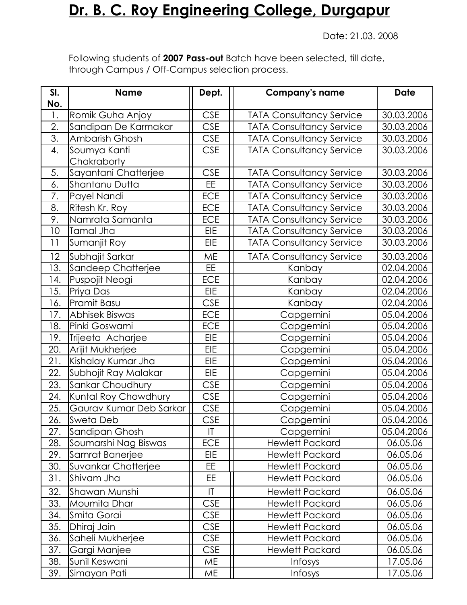## **Dr. B. C. Roy Engineering College, Durgapur**

Date: 21.03. 2008

Following students of **2007 Pass-out** Batch have been selected, till date, through Campus / Off-Campus selection process.

| SI.<br>No.       | <b>Name</b>             | Dept.      | <b>Company's name</b>           | <b>Date</b> |
|------------------|-------------------------|------------|---------------------------------|-------------|
| 1.               | Romik Guha Anjoy        | <b>CSE</b> | <b>TATA Consultancy Service</b> | 30.03.2006  |
| 2.               | Sandipan De Karmakar    | <b>CSE</b> | <b>TATA Consultancy Service</b> | 30.03.2006  |
| $\overline{3}$ . | Ambarish Ghosh          | <b>CSE</b> | <b>TATA Consultancy Service</b> | 30.03.2006  |
| 4.               | Soumya Kanti            | <b>CSE</b> | <b>TATA Consultancy Service</b> | 30.03.2006  |
|                  | Chakraborty             |            |                                 |             |
| 5.               | Sayantani Chatterjee    | <b>CSE</b> | <b>TATA Consultancy Service</b> | 30.03.2006  |
| 6.               | Shantanu Dutta          | EE         | <b>TATA Consultancy Service</b> | 30.03.2006  |
| 7.               | Payel Nandi             | <b>ECE</b> | <b>TATA Consultancy Service</b> | 30.03.2006  |
| 8.               | Ritesh Kr. Roy          | ECE        | <b>TATA Consultancy Service</b> | 30.03.2006  |
| 9.               | Namrata Samanta         | ECE        | <b>TATA Consultancy Service</b> | 30.03.2006  |
| 10               | Tamal Jha               | EIE        | <b>TATA Consultancy Service</b> | 30.03.2006  |
| 11               | Sumanjit Roy            | <b>EIE</b> | <b>TATA Consultancy Service</b> | 30.03.2006  |
| 12               | Subhajit Sarkar         | <b>ME</b>  | <b>TATA Consultancy Service</b> | 30.03.2006  |
| 13.              | Sandeep Chatterjee      | EE.        | Kanbay                          | 02.04.2006  |
| 14.              | Puspojit Neogi          | <b>ECE</b> | Kanbay                          | 02.04.2006  |
| 15.              | Priya Das               | <b>EIE</b> | Kanbay                          | 02.04.2006  |
| 16.              | Pramit Basu             | <b>CSE</b> | Kanbay                          | 02.04.2006  |
| 17.              | Abhisek Biswas          | <b>ECE</b> | Capgemini                       | 05.04.2006  |
| 18.              | Pinki Goswami           | <b>ECE</b> | Capgemini                       | 05.04.2006  |
| 19.              | Trijeeta Acharjee       | <b>EIE</b> | Capgemini                       | 05.04.2006  |
| 20.              | Arijit Mukherjee        | <b>EIE</b> | Capgemini                       | 05.04.2006  |
| 21.              | Kishalay Kumar Jha      | <b>EIE</b> | Capgemini                       | 05.04.2006  |
| 22.              | Subhojit Ray Malakar    | EIE        | Capgemini                       | 05.04.2006  |
| 23.              | Sankar Choudhury        | <b>CSE</b> | Capgemini                       | 05.04.2006  |
| 24.              | Kuntal Roy Chowdhury    | <b>CSE</b> | Capgemini                       | 05.04.2006  |
| 25.              | Gaurav Kumar Deb Sarkar | <b>CSE</b> | Capgemini                       | 05.04.2006  |
| 26.              | Sweta Deb               | <b>CSE</b> | Capgemini                       | 05.04.2006  |
| 27.              | Sandipan Ghosh          | T          | Capgemini                       | 05.04.2006  |
| 28.              | Soumarshi Nag Biswas    | <b>ECE</b> | <b>Hewlett Packard</b>          | 06.05.06    |
| 29.              | Samrat Banerjee         | <b>EIE</b> | <b>Hewlett Packard</b>          | 06.05.06    |
| 30.              | Suvankar Chatterjee     | EE         | <b>Hewlett Packard</b>          | 06.05.06    |
| 31.              | Shivam Jha              | EE         | <b>Hewlett Packard</b>          | 06.05.06    |
| 32.              | Shawan Munshi           | T          | <b>Hewlett Packard</b>          | 06.05.06    |
| 33.              | Moumita Dhar            | <b>CSE</b> | <b>Hewlett Packard</b>          | 06.05.06    |
| 34.              | Smita Gorai             | <b>CSE</b> | <b>Hewlett Packard</b>          | 06.05.06    |
| 35.              | Dhiraj Jain             | <b>CSE</b> | <b>Hewlett Packard</b>          | 06.05.06    |
| 36.              | Saheli Mukherjee        | <b>CSE</b> | <b>Hewlett Packard</b>          | 06.05.06    |
| 37.              | Gargi Manjee            | <b>CSE</b> | <b>Hewlett Packard</b>          | 06.05.06    |
| 38.              | Sunil Keswani           | <b>ME</b>  | Infosys                         | 17.05.06    |
| 39.              | Simayan Pati            | ME         | Infosys                         | 17.05.06    |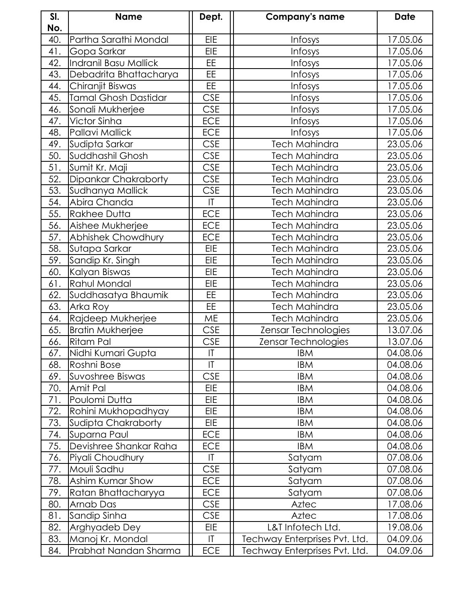| SI.        | <b>Name</b>                 | Dept.                  | <b>Company's name</b>         | <b>Date</b> |
|------------|-----------------------------|------------------------|-------------------------------|-------------|
| No.<br>40. | Partha Sarathi Mondal       | <b>EIE</b>             | Infosys                       | 17.05.06    |
| 41.        | Gopa Sarkar                 | EIE                    | Infosys                       | 17.05.06    |
| 42.        | Indranil Basu Mallick       | EE                     | Infosys                       | 17.05.06    |
| 43.        | Debadrita Bhattacharya      | EE.                    | Infosys                       | 17.05.06    |
| 44.        | Chiranjit Biswas            | <b>EE</b>              | Infosys                       | 17.05.06    |
| 45.        | <b>Tamal Ghosh Dastidar</b> | <b>CSE</b>             | Infosys                       | 17.05.06    |
| 46.        | Sonali Mukherjee            | <b>CSE</b>             | Infosys                       | 17.05.06    |
| 47.        | Victor Sinha                | ECE                    | Infosys                       | 17.05.06    |
| 48.        | Pallavi Mallick             | ECE                    | Infosys                       | 17.05.06    |
| 49.        | Sudipta Sarkar              | <b>CSE</b>             | <b>Tech Mahindra</b>          | 23.05.06    |
| 50.        | Suddhashil Ghosh            | <b>CSE</b>             | Tech Mahindra                 | 23.05.06    |
| 51.        | Sumit Kr. Maji              | <b>CSE</b>             | <b>Tech Mahindra</b>          | 23.05.06    |
| 52.        | Dipankar Chakraborty        | <b>CSE</b>             | <b>Tech Mahindra</b>          | 23.05.06    |
| 53.        | Sudhanya Mallick            | <b>CSE</b>             | Tech Mahindra                 | 23.05.06    |
| 54.        | Abira Chanda                | $\mathsf{I}\mathsf{T}$ | <b>Tech Mahindra</b>          | 23.05.06    |
| 55.        | Rakhee Dutta                | <b>ECE</b>             | <b>Tech Mahindra</b>          | 23.05.06    |
| 56.        | Aishee Mukherjee            | <b>ECE</b>             | <b>Tech Mahindra</b>          | 23.05.06    |
| 57.        | Abhishek Chowdhury          | <b>ECE</b>             | <b>Tech Mahindra</b>          | 23.05.06    |
| 58.        | Sutapa Sarkar               | <b>EIE</b>             | <b>Tech Mahindra</b>          | 23.05.06    |
| 59.        | Sandip Kr. Singh            | <b>EIE</b>             | Tech Mahindra                 | 23.05.06    |
| 60.        | Kalyan Biswas               | <b>EIE</b>             | <b>Tech Mahindra</b>          | 23.05.06    |
| 61.        | Rahul Mondal                | <b>EIE</b>             | <b>Tech Mahindra</b>          | 23.05.06    |
| 62.        | Suddhasatya Bhaumik         | EE.                    | <b>Tech Mahindra</b>          | 23.05.06    |
| 63.        | Arka Roy                    | EE                     | Tech Mahindra                 | 23.05.06    |
| 64.        | Rajdeep Mukherjee           | ME                     | <b>Tech Mahindra</b>          | 23.05.06    |
| 65.        | Bratin Mukherjee            | <b>CSE</b>             | Zensar Technologies           | 13.07.06    |
| 66.        | Ritam Pal                   | <b>CSE</b>             | Zensar Technologies           | 13.07.06    |
| 67.        | Nidhi Kumari Gupta          | $ \mathsf{T} $         | IBM                           | 04.08.06    |
| 68.        | Roshni Bose                 | $\mathsf{I}\mathsf{I}$ | <b>IBM</b>                    | 04.08.06    |
| 69.        | Suvoshree Biswas            | <b>CSE</b>             | <b>IBM</b>                    | 04.08.06    |
| 70.        | Amit Pal                    | EIE                    | <b>IBM</b>                    | 04.08.06    |
| 71.        | Poulomi Dutta               | <b>EIE</b>             | <b>IBM</b>                    | 04.08.06    |
| 72.        | Rohini Mukhopadhyay         | <b>EIE</b>             | <b>IBM</b>                    | 04.08.06    |
| 73.        | Sudipta Chakraborty         | <b>EIE</b>             | <b>IBM</b>                    | 04.08.06    |
| 74.        | Suparna Paul                | <b>ECE</b>             | <b>IBM</b>                    | 04.08.06    |
| 75.        | Devishree Shankar Raha      | ECE                    | <b>IBM</b>                    | 04.08.06    |
| 76.        | Piyali Choudhury            | T                      | Satyam                        | 07.08.06    |
| 77.        | Mouli Sadhu                 | <b>CSE</b>             | Satyam                        | 07.08.06    |
| 78.        | Ashim Kumar Show            | <b>ECE</b>             | Satyam                        | 07.08.06    |
| 79.        | Ratan Bhattacharyya         | ECE                    | Satyam                        | 07.08.06    |
| 80.        | Arnab Das                   | <b>CSE</b>             | Aztec                         | 17.08.06    |
| 81.        | Sandip Sinha                | <b>CSE</b>             | Aztec                         | 17.08.06    |
| 82.        | Arghyadeb Dey               | <b>EIE</b>             | L&T Infotech Ltd.             | 19.08.06    |
| 83.        | Manoj Kr. Mondal            | $\mathsf{I}\mathsf{T}$ | Techway Enterprises Pvt. Ltd. | 04.09.06    |
| 84.        | Prabhat Nandan Sharma       | <b>ECE</b>             | Techway Enterprises Pvt. Ltd. | 04.09.06    |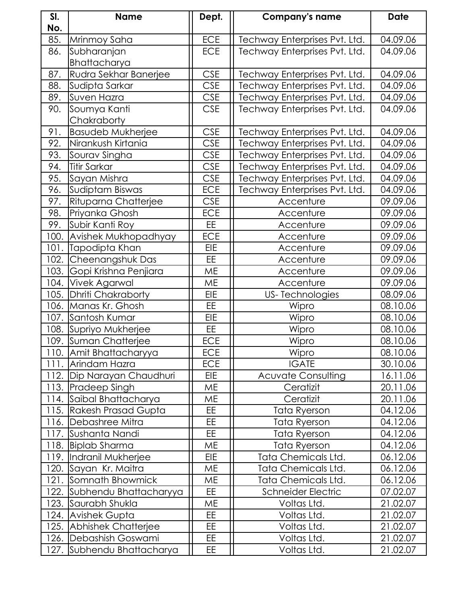| SI.  | <b>Name</b>                 | Dept.      | <b>Company's name</b>         | <b>Date</b> |
|------|-----------------------------|------------|-------------------------------|-------------|
| No.  |                             |            |                               |             |
| 85.  | Mrinmoy Saha                | ECE        | Techway Enterprises Pvt. Ltd. | 04.09.06    |
| 86.  | Subharanjan                 | ECE        | Techway Enterprises Pvt. Ltd. | 04.09.06    |
|      | Bhattacharya                |            |                               |             |
| 87.  | Rudra Sekhar Banerjee       | <b>CSE</b> | Techway Enterprises Pvt. Ltd. | 04.09.06    |
| 88.  | Sudipta Sarkar              | <b>CSE</b> | Techway Enterprises Pvt. Ltd. | 04.09.06    |
| 89.  | Suven Hazra                 | <b>CSE</b> | Techway Enterprises Pvt. Ltd. | 04.09.06    |
| 90.  | Soumya Kanti                | <b>CSE</b> | Techway Enterprises Pvt. Ltd. | 04.09.06    |
|      | Chakraborty                 |            |                               |             |
| 91.  | Basudeb Mukherjee           | <b>CSE</b> | Techway Enterprises Pvt. Ltd. | 04.09.06    |
| 92.  | Nirankush Kirtania          | <b>CSE</b> | Techway Enterprises Pvt. Ltd. | 04.09.06    |
| 93.  | Sourav Singha               | <b>CSE</b> | Techway Enterprises Pvt. Ltd. | 04.09.06    |
| 94.  | Titir Sarkar                | <b>CSE</b> | Techway Enterprises Pvt. Ltd. | 04.09.06    |
| 95.  | Sayan Mishra                | <b>CSE</b> | Techway Enterprises Pvt. Ltd. | 04.09.06    |
| 96.  | Sudiptam Biswas             | ECE        | Techway Enterprises Pvt. Ltd. | 04.09.06    |
| 97.  | Rituparna Chatterjee        | <b>CSE</b> | Accenture                     | 09.09.06    |
| 98.  | Priyanka Ghosh              | ECE        | Accenture                     | 09.09.06    |
| 99.  | Subir Kanti Roy             | EE         | Accenture                     | 09.09.06    |
| 100. | Avishek Mukhopadhyay        | <b>ECE</b> | Accenture                     | 09.09.06    |
| 101. | Tapodipta Khan              | EIE        | Accenture                     | 09.09.06    |
| 102. | Cheenangshuk Das            | EE.        | Accenture                     | 09.09.06    |
| 103. | Gopi Krishna Penjiara       | ME         | Accenture                     | 09.09.06    |
| 104. | Vivek Agarwal               | ME         | Accenture                     | 09.09.06    |
| 105. | Dhriti Chakraborty          | EIE        | <b>US-Technologies</b>        | 08.09.06    |
|      | 106. Manas Kr. Ghosh        | EE.        | Wipro                         | 08.10.06    |
| 107. | Santosh Kumar               | EIE        | Wipro                         | 08.10.06    |
|      | 108. Supriyo Mukherjee      | EE         | Wipro                         | 08.10.06    |
|      | 109. Suman Chatterjee       | ECE        | Wipro                         | 08.10.06    |
|      | 110. Amit Bhattacharyya     | ECE        | Wipro                         | 08.10.06    |
|      | 111. Arindam Hazra          | <b>ECE</b> | <b>IGATE</b>                  | 30.10.06    |
|      | 112. Dip Narayan Chaudhuri  | <b>EIE</b> | <b>Acuvate Consulting</b>     | 16.11.06    |
|      | 113. Pradeep Singh          | ME         | Ceratizit                     | 20.11.06    |
|      | 114. Saibal Bhattacharya    | ME         | Ceratizit                     | 20.11.06    |
|      | 115. Rakesh Prasad Gupta    | EE         | <b>Tata Ryerson</b>           | 04.12.06    |
|      | 116. Debashree Mitra        | EE         | Tata Ryerson                  | 04.12.06    |
|      | 117. Sushanta Nandi         | EE         | Tata Ryerson                  | 04.12.06    |
|      | 118. Biplab Sharma          | ME         | Tata Ryerson                  | 04.12.06    |
|      | 119. Indranil Mukherjee     | EIE        | Tata Chemicals Ltd.           | 06.12.06    |
|      | 120. Sayan Kr. Maitra       | ME         | Tata Chemicals Ltd.           | 06.12.06    |
|      | 121. Somnath Bhowmick       | ME         | Tata Chemicals Ltd.           | 06.12.06    |
|      | 122. Subhendu Bhattacharyya | <b>EE</b>  | <b>Schneider Electric</b>     | 07.02.07    |
|      | 123. Saurabh Shukla         | ME         | Voltas Ltd.                   | 21.02.07    |
|      | 124.   Avishek Gupta        | EE         | Voltas Ltd.                   | 21.02.07    |
|      | 125. Abhishek Chatterjee    | EE.        | Voltas Ltd.                   | 21.02.07    |
|      | 126.  Debashish Goswami     | EE.        | Voltas Ltd.                   | 21.02.07    |
|      | 127. Subhendu Bhattacharya  | <b>EE</b>  | Voltas Ltd.                   | 21.02.07    |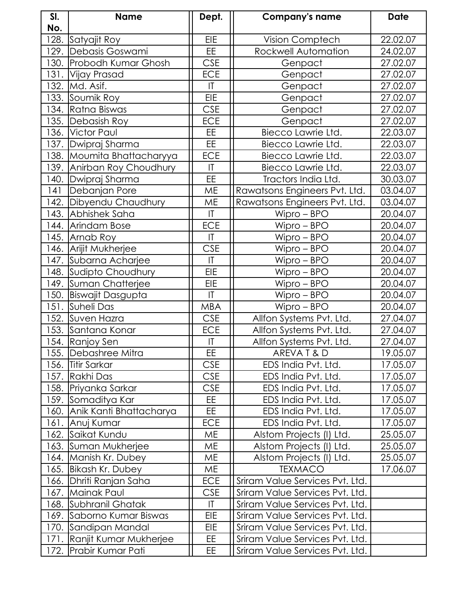| SI.  | <b>Name</b>                   | Dept.                  | <b>Company's name</b>           | <b>Date</b> |
|------|-------------------------------|------------------------|---------------------------------|-------------|
| No.  |                               |                        |                                 |             |
| 128. | Satyajit Roy                  | <b>EIE</b>             | Vision Comptech                 | 22.02.07    |
|      | 129. Debasis Goswami          | <b>EE</b>              | Rockwell Automation             | 24.02.07    |
|      | 130. Probodh Kumar Ghosh      | <b>CSE</b>             | Genpact                         | 27.02.07    |
|      | 131. Vijay Prasad             | ECE                    | Genpact                         | 27.02.07    |
|      | 132. Md. Asif.                | T                      | Genpact                         | 27.02.07    |
|      | 133. Soumik Roy               | <b>EIE</b>             | Genpact                         | 27.02.07    |
|      | 134. Ratna Biswas             | <b>CSE</b>             | Genpact                         | 27.02.07    |
|      | 135.  Debasish Roy            | ECE                    | Genpact                         | 27.02.07    |
|      | 136. Victor Paul              | EE                     | Biecco Lawrie Ltd.              | 22.03.07    |
|      | 137. Dwipraj Sharma           | EE                     | Biecco Lawrie Ltd.              | 22.03.07    |
|      | 138. Moumita Bhattacharyya    | ECE                    | Biecco Lawrie Ltd.              | 22.03.07    |
|      | 139.  Anirban Roy Choudhury   | $\mathsf{I}\mathsf{I}$ | Biecco Lawrie Ltd.              | 22.03.07    |
|      | 140. Dwipraj Sharma           | <b>EE</b>              | Tractors India Ltd.             | 30.03.07    |
| 141  | Debanjan Pore                 | ME                     | Rawatsons Engineers Pvt. Ltd.   | 03.04.07    |
|      | 142. Dibyendu Chaudhury       | <b>ME</b>              | Rawatsons Engineers Pvt. Ltd.   | 03.04.07    |
|      | 143. Abhishek Saha            | $\overline{1}$         | $Wipro - BPO$                   | 20.04.07    |
|      | 144. Arindam Bose             | ECE                    | $Wipro - BPO$                   | 20.04.07    |
|      | 145. Arnab Roy                | T                      | $Wipro - BPO$                   | 20.04.07    |
|      | 146. Arijit Mukherjee         | <b>CSE</b>             | $Wipro - BPO$                   | 20.04.07    |
|      | 147. Subarna Acharjee         | $\mathsf{I}\mathsf{T}$ | Wipro - BPO                     | 20.04.07    |
|      | 148. Sudipto Choudhury        | EIE                    | $Wipro - BPO$                   | 20.04.07    |
|      | 149. Suman Chatterjee         | EIE                    | $Wipro - BPO$                   | 20.04.07    |
|      | 150.  Biswajit Dasgupta       | T                      | $Wipro - BPO$                   | 20.04.07    |
|      | 151. Suheli Das               | <b>MBA</b>             | $Wipro - BPO$                   | 20.04.07    |
|      | 152. Suven Hazra              | <b>CSE</b>             | Allfon Systems Pvt. Ltd.        | 27.04.07    |
|      | 153. Santana Konar            | <b>ECE</b>             | Allfon Systems Pvt. Ltd.        | 27.04.07    |
|      | 154. Ranjoy Sen               | T                      | Allfon Systems Pvt. Ltd.        | 27.04.07    |
|      | 155. Debashree Mitra          | EE                     | AREVAT&D                        | 19.05.07    |
|      | 156.  Titir Sarkar            | <b>CSE</b>             | EDS India Pvt. Ltd.             | 17.05.07    |
|      | 157. Rakhi Das                | <b>CSE</b>             | EDS India Pvt. Ltd.             | 17.05.07    |
|      | 158.  Priyanka Sarkar         | <b>CSE</b>             | EDS India Pvt. Ltd.             | 17.05.07    |
|      | 159. Somaditya Kar            | EE.                    | EDS India Pvt. Ltd.             | 17.05.07    |
|      | 160.  Anik Kanti Bhattacharya | EE.                    | EDS India Pvt. Ltd.             | 17.05.07    |
|      | 161.  Anuj Kumar              | ECE                    | EDS India Pvt. Ltd.             | 17.05.07    |
|      | 162. Saikat Kundu             | МE                     | Alstom Projects (I) Ltd.        | 25.05.07    |
|      | 163. Suman Mukherjee          | ME                     | Alstom Projects (I) Ltd.        | 25.05.07    |
|      | 164. Manish Kr. Dubey         | ME                     | Alstom Projects (I) Ltd.        | 25.05.07    |
|      | 165. Bikash Kr. Dubey         | ME                     | <b>TEXMACO</b>                  | 17.06.07    |
|      | 166. Dhriti Ranjan Saha       | ECE                    | Sriram Value Services Pvt. Ltd. |             |
|      | 167. Mainak Paul              | <b>CSE</b>             | Sriram Value Services Pvt. Ltd. |             |
|      | 168. Subhranil Ghatak         | $\mathsf{I}\mathsf{T}$ | Sriram Value Services Pvt. Ltd. |             |
|      | 169. Saborno Kumar Biswas     | <b>EIE</b>             | Sriram Value Services Pvt. Ltd. |             |
|      | 170. Sandipan Mandal          | <b>EIE</b>             | Sriram Value Services Pvt. Ltd. |             |
| 171. | Ranjit Kumar Mukherjee        | EE                     | Sriram Value Services Pvt. Ltd. |             |
|      | 172. Prabir Kumar Pati        | EE                     | Sriram Value Services Pvt. Ltd. |             |